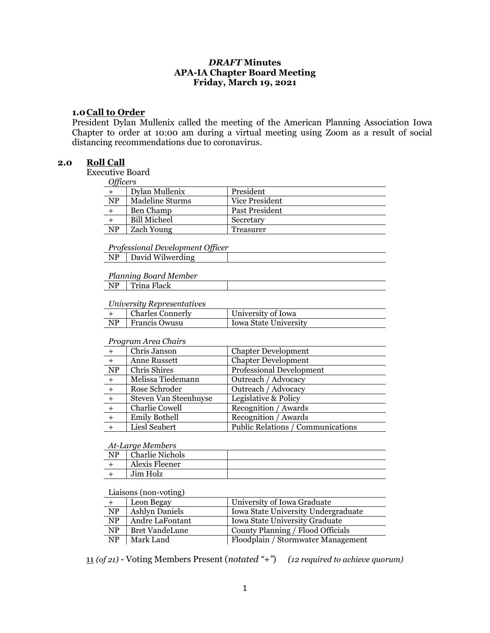# *DRAFT* **Minutes APA-IA Chapter Board Meeting Friday, March 19, 2021**

## **1.0Call to Order**

President Dylan Mullenix called the meeting of the American Planning Association Iowa Chapter to order at 10:00 am during a virtual meeting using Zoom as a result of social distancing recommendations due to coronavirus.

## **2.0 Roll Call**

Executive Board

*Officers*

| <i>c</i> of the distribution |                |  |
|------------------------------|----------------|--|
| Dylan Mullenix               | President      |  |
| Madeline Sturms              | Vice President |  |
| Ben Champ                    | Past President |  |
| <b>Bill Micheel</b>          | Secretary      |  |
| Zach Young                   | Treasurer      |  |
|                              |                |  |

*Professional Development Officer*

*Planning Board Member*

| Trina Flack |
|-------------|
|             |

# *University Representatives*

|  | <b>Charles Connerly</b> | University of Iowa    |
|--|-------------------------|-----------------------|
|  | Francis Owusu           | Iowa State University |

#### *Program Area Chairs*

| $+$ | Chris Janson          | <b>Chapter Development</b>               |
|-----|-----------------------|------------------------------------------|
|     | Anne Russett          | <b>Chapter Development</b>               |
| NP  | Chris Shires          | <b>Professional Development</b>          |
| $+$ | Melissa Tiedemann     | Outreach / Advocacy                      |
| $+$ | Rose Schroder         | Outreach / Advocacy                      |
| $+$ | Steven Van Steenhuyse | Legislative & Policy                     |
|     | Charlie Cowell        | Recognition / Awards                     |
|     | <b>Emily Bothell</b>  | Recognition / Awards                     |
|     | Liesl Seabert         | <b>Public Relations / Communications</b> |

#### *At-Large Members*

| NP | <b>Charlie Nichols</b> |  |
|----|------------------------|--|
|    | Alexis Fleener         |  |
|    | Jim Holz               |  |

## Liaisons (non-voting)

|           | Leon Begay            | University of Iowa Graduate         |
|-----------|-----------------------|-------------------------------------|
| NP        | <b>Ashlyn Daniels</b> | Iowa State University Undergraduate |
| <b>NP</b> | Andre LaFontant       | Iowa State University Graduate      |
| NP        | <b>Bret VandeLune</b> | County Planning / Flood Officials   |
| NP        | Mark Land             | Floodplain / Stormwater Management  |

11 *(of 21)* - Voting Members Present (*notated "+"*) *(12 required to achieve quorum)*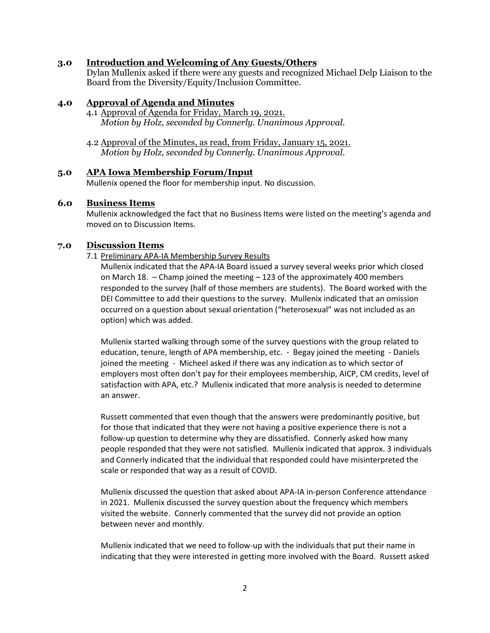# **3.0 Introduction and Welcoming of Any Guests/Others**

Dylan Mullenix asked if there were any guests and recognized Michael Delp Liaison to the Board from the Diversity/Equity/Inclusion Committee.

# **4.0 Approval of Agenda and Minutes**

- 4.1 Approval of Agenda for Friday, March 19, 2021. *Motion by Holz, seconded by Connerly. Unanimous Approval.*
- 4.2 Approval of the Minutes, as read, from Friday, January 15, 2021. *Motion by Holz, seconded by Connerly. Unanimous Approval.*

## **5.0 APA Iowa Membership Forum/Input**

Mullenix opened the floor for membership input. No discussion.

## **6.0 Business Items**

Mullenix acknowledged the fact that no Business Items were listed on the meeting's agenda and moved on to Discussion Items.

## **7.0 Discussion Items**

## 7.1 Preliminary APA-IA Membership Survey Results

Mullenix indicated that the APA-IA Board issued a survey several weeks prior which closed on March 18. – Champ joined the meeting – 123 of the approximately 400 members responded to the survey (half of those members are students). The Board worked with the DEI Committee to add their questions to the survey. Mullenix indicated that an omission occurred on a question about sexual orientation ("heterosexual" was not included as an option) which was added.

Mullenix started walking through some of the survey questions with the group related to education, tenure, length of APA membership, etc. - Begay joined the meeting - Daniels joined the meeting - Micheel asked if there was any indication as to which sector of employers most often don't pay for their employees membership, AICP, CM credits, level of satisfaction with APA, etc.? Mullenix indicated that more analysis is needed to determine an answer.

Russett commented that even though that the answers were predominantly positive, but for those that indicated that they were not having a positive experience there is not a follow-up question to determine why they are dissatisfied. Connerly asked how many people responded that they were not satisfied. Mullenix indicated that approx. 3 individuals and Connerly indicated that the individual that responded could have misinterpreted the scale or responded that way as a result of COVID.

Mullenix discussed the question that asked about APA-IA in-person Conference attendance in 2021. Mullenix discussed the survey question about the frequency which members visited the website. Connerly commented that the survey did not provide an option between never and monthly.

Mullenix indicated that we need to follow-up with the individuals that put their name in indicating that they were interested in getting more involved with the Board. Russett asked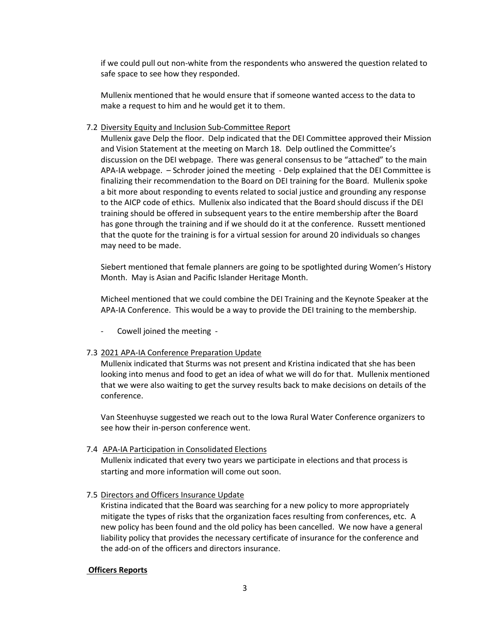if we could pull out non-white from the respondents who answered the question related to safe space to see how they responded.

Mullenix mentioned that he would ensure that if someone wanted access to the data to make a request to him and he would get it to them.

#### 7.2 Diversity Equity and Inclusion Sub-Committee Report

Mullenix gave Delp the floor. Delp indicated that the DEI Committee approved their Mission and Vision Statement at the meeting on March 18. Delp outlined the Committee's discussion on the DEI webpage. There was general consensus to be "attached" to the main APA-IA webpage. – Schroder joined the meeting - Delp explained that the DEI Committee is finalizing their recommendation to the Board on DEI training for the Board. Mullenix spoke a bit more about responding to events related to social justice and grounding any response to the AICP code of ethics. Mullenix also indicated that the Board should discuss if the DEI training should be offered in subsequent years to the entire membership after the Board has gone through the training and if we should do it at the conference. Russett mentioned that the quote for the training is for a virtual session for around 20 individuals so changes may need to be made.

Siebert mentioned that female planners are going to be spotlighted during Women's History Month. May is Asian and Pacific Islander Heritage Month.

Micheel mentioned that we could combine the DEI Training and the Keynote Speaker at the APA-IA Conference. This would be a way to provide the DEI training to the membership.

- Cowell joined the meeting -

#### 7.3 2021 APA-IA Conference Preparation Update

Mullenix indicated that Sturms was not present and Kristina indicated that she has been looking into menus and food to get an idea of what we will do for that. Mullenix mentioned that we were also waiting to get the survey results back to make decisions on details of the conference.

Van Steenhuyse suggested we reach out to the Iowa Rural Water Conference organizers to see how their in-person conference went.

#### 7.4 APA-IA Participation in Consolidated Elections

Mullenix indicated that every two years we participate in elections and that process is starting and more information will come out soon.

#### 7.5 Directors and Officers Insurance Update

Kristina indicated that the Board was searching for a new policy to more appropriately mitigate the types of risks that the organization faces resulting from conferences, etc. A new policy has been found and the old policy has been cancelled. We now have a general liability policy that provides the necessary certificate of insurance for the conference and the add-on of the officers and directors insurance.

#### **Officers Reports**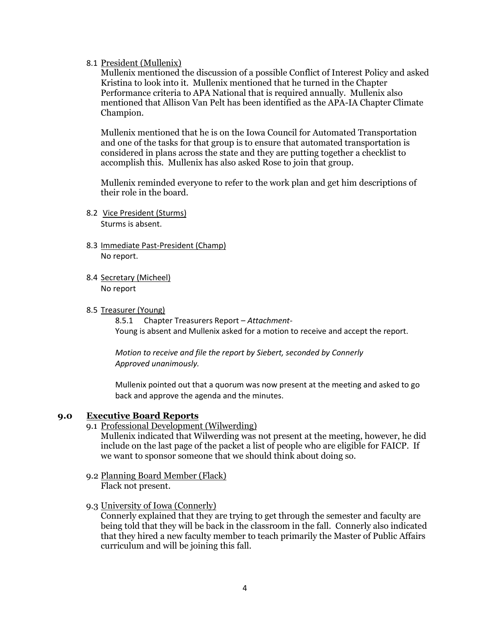# 8.1 President (Mullenix)

Mullenix mentioned the discussion of a possible Conflict of Interest Policy and asked Kristina to look into it. Mullenix mentioned that he turned in the Chapter Performance criteria to APA National that is required annually. Mullenix also mentioned that Allison Van Pelt has been identified as the APA-IA Chapter Climate Champion.

Mullenix mentioned that he is on the Iowa Council for Automated Transportation and one of the tasks for that group is to ensure that automated transportation is considered in plans across the state and they are putting together a checklist to accomplish this. Mullenix has also asked Rose to join that group.

Mullenix reminded everyone to refer to the work plan and get him descriptions of their role in the board.

- 8.2 Vice President (Sturms) Sturms is absent.
- 8.3 Immediate Past-President (Champ) No report.
- 8.4 Secretary (Micheel) No report

#### 8.5 Treasurer (Young)

8.5.1 Chapter Treasurers Report – *Attachment-*Young is absent and Mullenix asked for a motion to receive and accept the report.

*Motion to receive and file the report by Siebert, seconded by Connerly Approved unanimously.*

Mullenix pointed out that a quorum was now present at the meeting and asked to go back and approve the agenda and the minutes.

#### **9.0 Executive Board Reports**

9.1 Professional Development (Wilwerding)

Mullenix indicated that Wilwerding was not present at the meeting, however, he did include on the last page of the packet a list of people who are eligible for FAICP. If we want to sponsor someone that we should think about doing so.

- 9.2 Planning Board Member (Flack) Flack not present.
- 9.3 University of Iowa (Connerly)

Connerly explained that they are trying to get through the semester and faculty are being told that they will be back in the classroom in the fall. Connerly also indicated that they hired a new faculty member to teach primarily the Master of Public Affairs curriculum and will be joining this fall.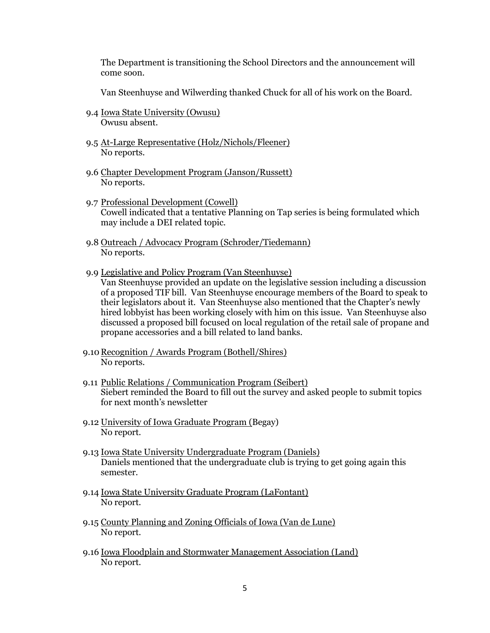The Department is transitioning the School Directors and the announcement will come soon.

Van Steenhuyse and Wilwerding thanked Chuck for all of his work on the Board.

- 9.4 Iowa State University (Owusu) Owusu absent.
- 9.5 At-Large Representative (Holz/Nichols/Fleener) No reports.
- 9.6 Chapter Development Program (Janson/Russett) No reports.
- 9.7 Professional Development (Cowell) Cowell indicated that a tentative Planning on Tap series is being formulated which may include a DEI related topic.
- 9.8 Outreach / Advocacy Program (Schroder/Tiedemann) No reports.
- 9.9 Legislative and Policy Program (Van Steenhuyse) Van Steenhuyse provided an update on the legislative session including a discussion of a proposed TIF bill. Van Steenhuyse encourage members of the Board to speak to their legislators about it. Van Steenhuyse also mentioned that the Chapter's newly hired lobbyist has been working closely with him on this issue. Van Steenhuyse also discussed a proposed bill focused on local regulation of the retail sale of propane and propane accessories and a bill related to land banks.
- 9.10 Recognition / Awards Program (Bothell/Shires) No reports.
- 9.11 Public Relations / Communication Program (Seibert) Siebert reminded the Board to fill out the survey and asked people to submit topics for next month's newsletter
- 9.12 University of Iowa Graduate Program (Begay) No report.
- 9.13 Iowa State University Undergraduate Program (Daniels) Daniels mentioned that the undergraduate club is trying to get going again this semester.
- 9.14 Iowa State University Graduate Program (LaFontant) No report.
- 9.15 County Planning and Zoning Officials of Iowa (Van de Lune) No report.
- 9.16 Iowa Floodplain and Stormwater Management Association (Land) No report.